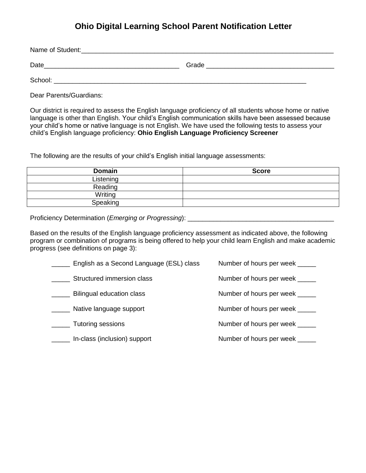Name of Student: Date\_\_\_\_\_\_\_\_\_\_\_\_\_\_\_\_\_\_\_\_\_\_\_\_\_\_\_\_\_\_\_\_\_\_\_\_\_ Grade \_\_\_\_\_\_\_\_\_\_\_\_\_\_\_\_\_\_\_\_\_\_\_\_\_\_\_\_\_\_\_\_\_\_\_ School: \_\_\_\_\_\_\_\_\_\_\_\_\_\_\_\_\_\_\_\_\_\_\_\_\_\_\_\_\_\_\_\_\_\_\_\_\_\_\_\_\_\_\_\_\_\_\_\_\_\_\_\_\_\_\_\_\_\_\_\_\_\_\_\_\_\_\_\_\_

Dear Parents/Guardians:

Our district is required to assess the English language proficiency of all students whose home or native language is other than English. Your child's English communication skills have been assessed because your child's home or native language is not English. We have used the following tests to assess your child's English language proficiency: **Ohio English Language Proficiency Screener**

The following are the results of your child's English initial language assessments:

| <b>Domain</b> | <b>Score</b> |
|---------------|--------------|
| Listening     |              |
| Reading       |              |
| Writing       |              |
| Speaking      |              |

Proficiency Determination (*Emerging or Progressing*): \_\_\_\_\_\_\_\_\_\_\_\_\_\_\_\_\_\_\_\_\_\_\_\_\_\_\_\_\_\_\_\_\_\_\_\_\_\_\_\_

Based on the results of the English language proficiency assessment as indicated above, the following program or combination of programs is being offered to help your child learn English and make academic progress (see definitions on page 3):

| English as a Second Language (ESL) class | Number of hours per week    |
|------------------------------------------|-----------------------------|
| Structured immersion class               | Number of hours per week    |
| Bilingual education class                | Number of hours per week    |
| Native language support                  | Number of hours per week    |
| <b>Tutoring sessions</b>                 | Number of hours per week    |
| In-class (inclusion) support             | Number of hours per week __ |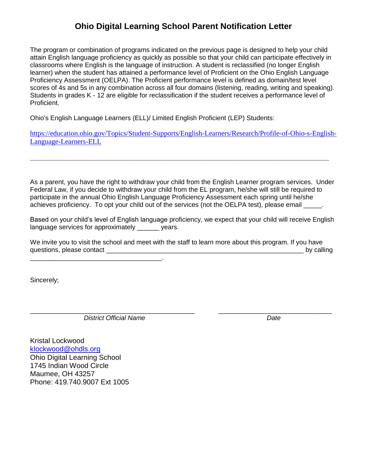The program or combination of programs indicated on the previous page is designed to help your child attain English language proficiency as quickly as possible so that your child can participate effectively in classrooms where English is the language of instruction. A student is reclassified (no longer English learner) when the student has attained a performance level of Proficient on the Ohio English Language Proficiency Assessment (OELPA). The Proficient performance level is defined as domain/test level scores of 4s and 5s in any combination across all four domains (listening, reading, writing and speaking). Students in grades K - 12 are eligible for reclassification if the student receives a performance level of Proficient.

Ohio's English Language Learners (ELL)/ Limited English Proficient (LEP) Students:

 $\mathcal{L}=\mathcal{L}=\mathcal{L}=\mathcal{L}=\mathcal{L}$ 

[https://education.ohio.gov/Topics/Student-Supports/English-Learners/Research/Profile-of-Ohio-s-English-](https://education.ohio.gov/Topics/Student-Supports/English-Learners/Research/Profile-of-Ohio-s-English-Language-Learners-ELL)[Language-Learners-ELL](https://education.ohio.gov/Topics/Student-Supports/English-Learners/Research/Profile-of-Ohio-s-English-Language-Learners-ELL)

**\_\_\_\_\_\_\_\_\_\_\_\_\_\_\_\_\_\_\_\_\_\_\_\_\_\_\_\_\_\_\_\_\_\_\_\_\_\_\_\_\_\_\_\_\_\_\_\_\_\_\_\_\_\_\_\_\_\_\_\_\_\_\_\_\_\_\_\_\_\_\_\_\_\_\_**

As a parent, you have the right to withdraw your child from the English Learner program services. Under Federal Law, if you decide to withdraw your child from the EL program, he/she will still be required to participate in the annual Ohio English Language Proficiency Assessment each spring until he/she achieves proficiency. To opt your child out of the services (not the OELPA test), please email

Based on your child's level of English language proficiency, we expect that your child will receive English language services for approximately vears.

We invite you to visit the school and meet with the staff to learn more about this program. If you have questions, please contact \_\_\_\_\_\_\_\_\_\_\_\_\_\_\_\_\_\_\_\_\_\_\_\_\_\_\_\_\_\_\_\_\_\_\_\_\_\_\_\_\_\_\_\_\_\_\_\_\_\_\_\_\_\_ by calling

Sincerely;

\_\_\_\_\_\_\_\_\_\_\_\_\_\_\_\_\_\_\_\_\_\_\_\_\_\_\_\_\_\_\_\_\_\_\_\_\_\_\_\_\_\_\_\_\_ \_\_\_\_\_\_\_\_\_\_\_\_\_\_\_\_\_\_\_\_\_\_\_\_\_\_\_\_\_\_\_ *District Official Name Date*

Kristal Lockwood [klockwood@ohdls.org](mailto:klockwood@ohdls.org) Ohio Digital Learning School 1745 Indian Wood Circle Maumee, OH 43257 Phone: 419.740.9007 Ext 1005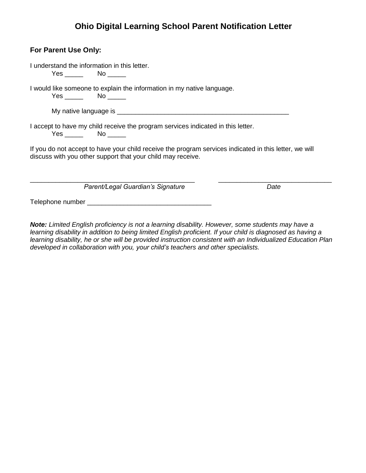| For Parent Use Only:                                                                                                                                                  |      |  |
|-----------------------------------------------------------------------------------------------------------------------------------------------------------------------|------|--|
| I understand the information in this letter.<br>$Yes \_\_\_\_\\$ No $\_\_\_\_\_\$                                                                                     |      |  |
| I would like someone to explain the information in my native language.<br>Yes No                                                                                      |      |  |
|                                                                                                                                                                       |      |  |
| I accept to have my child receive the program services indicated in this letter.<br>Yes No                                                                            |      |  |
| If you do not accept to have your child receive the program services indicated in this letter, we will<br>discuss with you other support that your child may receive. |      |  |
| Parent/Legal Guardian's Signature                                                                                                                                     | Date |  |

Telephone number \_\_\_\_\_\_\_\_\_\_\_\_\_\_\_\_\_\_\_\_\_\_\_\_\_\_\_\_\_\_\_\_\_\_

*Note: Limited English proficiency is not a learning disability. However, some students may have a learning disability in addition to being limited English proficient. If your child is diagnosed as having a learning disability, he or she will be provided instruction consistent with an Individualized Education Plan developed in collaboration with you, your child's teachers and other specialists.*